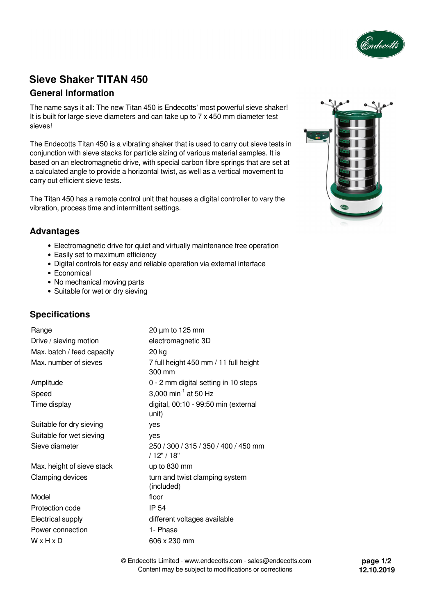

# **Sieve Shaker TITAN 450**

## **General Information**

The name says it all: The new Titan 450 is Endecotts' most powerful sieve shaker! It is built for large sieve diameters and can take up to 7 x 450 mm diameter test sieves!

The Endecotts Titan 450 is a vibrating shaker that is used to carry out sieve tests in conjunction with sieve stacks for particle sizing of various material samples. It is based on an electromagnetic drive, with special carbon fibre springs that are set at a calculated angle to provide a horizontal twist, as well as a vertical movement to carry out efficient sieve tests.

The Titan 450 has a remote control unit that houses a digital controller to vary the vibration, process time and intermittent settings.



## **Advantages**

- Electromagnetic drive for quiet and virtually maintenance free operation
- Easily set to maximum efficiency
- Digital controls for easy and reliable operation via external interface
- Economical
- No mechanical moving parts
- Suitable for wet or dry sieving

## **Specifications**

| Range                      | $20 \mu m$ to 125 mm                                |
|----------------------------|-----------------------------------------------------|
| Drive / sieving motion     | electromagnetic 3D                                  |
| Max. batch / feed capacity | 20 kg                                               |
| Max, number of sieves      | 7 full height 450 mm / 11 full height<br>300 mm     |
| Amplitude                  | 0 - 2 mm digital setting in 10 steps                |
| Speed                      | 3,000 min <sup>-1</sup> at 50 Hz                    |
| Time display               | digital, 00:10 - 99:50 min (external<br>unit)       |
| Suitable for dry sieving   | yes                                                 |
| Suitable for wet sieving   | yes                                                 |
| Sieve diameter             | 250 / 300 / 315 / 350 / 400 / 450 mm<br>/ 12" / 18" |
| Max. height of sieve stack | up to 830 mm                                        |
| Clamping devices           | turn and twist clamping system<br>(included)        |
| Model                      | floor                                               |
| Protection code            | IP 54                                               |
| Electrical supply          | different voltages available                        |
| Power connection           | 1- Phase                                            |
| WxHxD                      | 606 x 230 mm                                        |
|                            |                                                     |

© Endecotts Limited - www.endecotts.com - sales@endecotts.com Content may be subject to modifications or corrections

**page 1/2 12.10.2019**